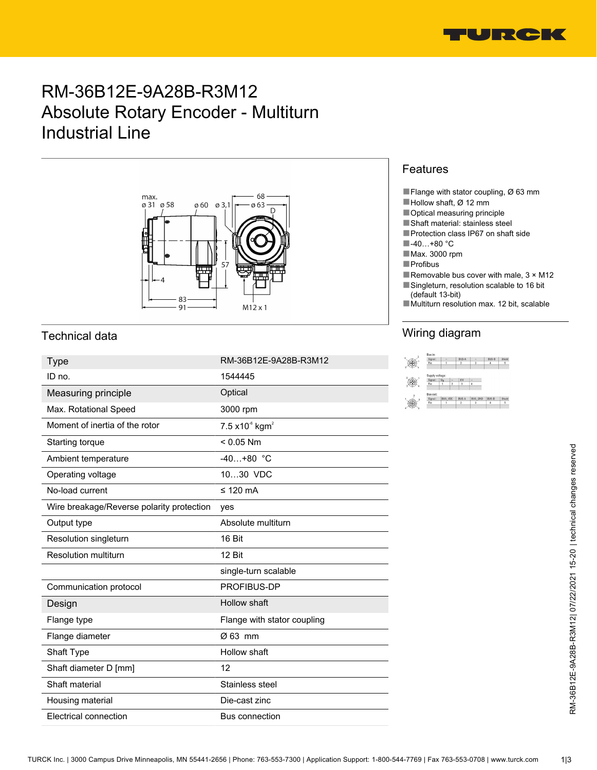

# RM-36B12E-9A28B-R3M12 Absolute Rotary Encoder - Multiturn Industrial Line



## Technical data

| <b>Type</b>                               | RM-36B12E-9A28B-R3M12                | $^{\circledR}$ | $\begin{tabular}{ c c } \hline Signal: & \quad \quad \quad & \quad \quad \quad \\ \hline \text{Pirc} & \quad \quad \quad & \quad \quad \quad \\ \hline \end{tabular}$<br>BUS-A |
|-------------------------------------------|--------------------------------------|----------------|--------------------------------------------------------------------------------------------------------------------------------------------------------------------------------|
| ID no.                                    | 1544445                              | $\circledcirc$ |                                                                                                                                                                                |
| Measuring principle                       | Optical                              |                |                                                                                                                                                                                |
| Max. Rotational Speed                     | 3000 rpm                             |                |                                                                                                                                                                                |
| Moment of inertia of the rotor            | $7.5 \times 10^{6}$ kgm <sup>2</sup> |                |                                                                                                                                                                                |
| Starting torque                           | $< 0.05$ Nm                          |                |                                                                                                                                                                                |
| Ambient temperature                       | $-40+80$ °C                          |                |                                                                                                                                                                                |
| Operating voltage                         | 1030 VDC                             |                |                                                                                                                                                                                |
| No-load current                           | $\leq$ 120 mA                        |                |                                                                                                                                                                                |
| Wire breakage/Reverse polarity protection | yes                                  |                |                                                                                                                                                                                |
| Output type                               | Absolute multiturn                   |                |                                                                                                                                                                                |
| Resolution singleturn                     | 16 Bit                               |                |                                                                                                                                                                                |
| <b>Resolution multiturn</b>               | 12 Bit                               |                |                                                                                                                                                                                |
|                                           | single-turn scalable                 |                |                                                                                                                                                                                |
| Communication protocol                    | PROFIBUS-DP                          |                |                                                                                                                                                                                |
| Design                                    | Hollow shaft                         |                |                                                                                                                                                                                |
| Flange type                               | Flange with stator coupling          |                |                                                                                                                                                                                |
| Flange diameter                           | Ø 63 mm                              |                |                                                                                                                                                                                |
| Shaft Type                                | Hollow shaft                         |                |                                                                                                                                                                                |
| Shaft diameter D [mm]                     | 12                                   |                |                                                                                                                                                                                |
| Shaft material                            | Stainless steel                      |                |                                                                                                                                                                                |
| Housing material                          | Die-cast zinc                        |                |                                                                                                                                                                                |
| <b>Electrical connection</b>              | Bus connection                       |                |                                                                                                                                                                                |

#### Features

- ■Flange with stator coupling, Ø 63 mm
- ■Hollow shaft, Ø 12 mm
- Optical measuring principle
- ■Shaft material: stainless steel
- ■Protection class IP67 on shaft side
- ■-40…+80 °C
- ■Max. 3000 rpm
- ■Profibus
- Removable bus cover with male,  $3 \times M12$ ■Singleturn, resolution scalable to 16 bit
	- (default 13-bit)
- Multiturn resolution max. 12 bit, scalable

# Wiring diagram

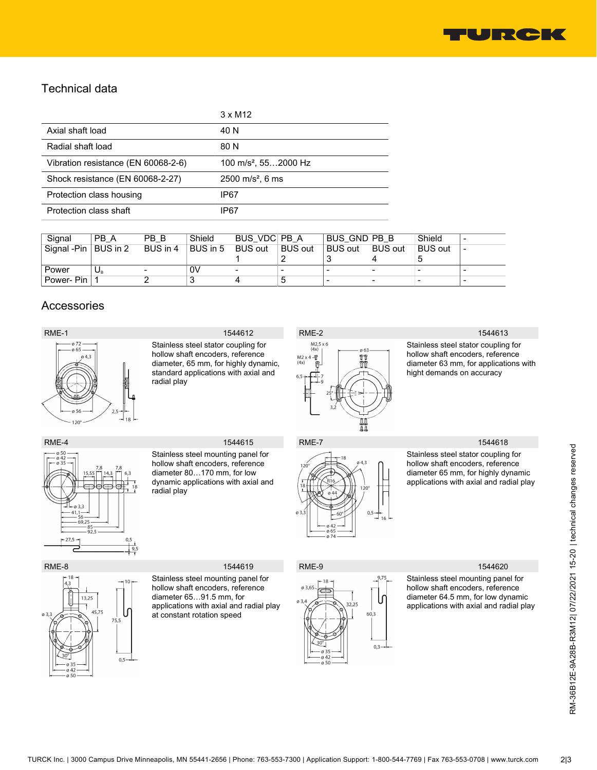

### Technical data

|                                     | $3 \times M12$                   |
|-------------------------------------|----------------------------------|
| Axial shaft load                    | 40 N                             |
| Radial shaft load                   | 80 N                             |
| Vibration resistance (EN 60068-2-6) | 100 m/s <sup>2</sup> , 552000 Hz |
| Shock resistance (EN 60068-2-27)    | $2500 \text{ m/s}^2$ , 6 ms      |
| Protection class housing            | IP67                             |
| Protection class shaft              | IP67                             |

| Signal      | PB A     | PB B     | Shield   | BUS VDC PB A             |                          | BUS GND PB B             |                          | Shield         | - |
|-------------|----------|----------|----------|--------------------------|--------------------------|--------------------------|--------------------------|----------------|---|
| Signal -Pin | BUS in 2 | BUS in 4 | BUS in 5 | <b>BUS out</b>           | <b>BUS out</b>           | <b>BUS out</b>           | <b>BUS out</b>           | <b>BUS out</b> | ٠ |
|             |          |          |          |                          |                          |                          | 4                        |                |   |
| Power       | U.       |          | 0V       | $\overline{\phantom{0}}$ | $\overline{\phantom{a}}$ | $\overline{\phantom{0}}$ | $\overline{\phantom{a}}$ | -              | - |
| Power- Pin  |          |          | J        |                          | ა                        |                          | ۰                        | -              | - |

### Accessories